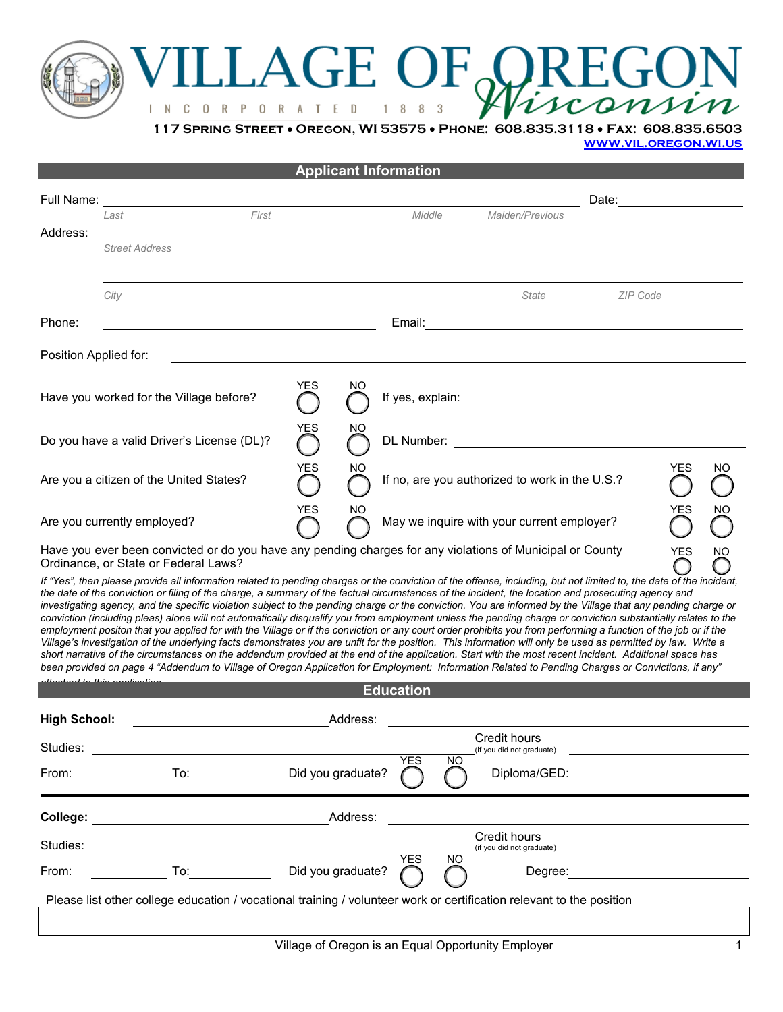## VILLAGE OF PREGON

**117 Spring Street** • **Oregon, WI 53575** • **Phone: 608.835.3118** • **Fax: 608.835.6503** 

**[www.vil.oregon.wi.us](http://www.vil.oregon.wi.us/)**

|                                            |                                                                                                                                                                                                                                                                                                                                                                                                                                                                                                                                                                                                                                                                                                                                                                                                                                                                                                                                                                                                                                                                                                                                                                                                                                                                                                              |                      |                   |          | <b>Applicant Information</b>                                       |    |                                                  |       |                 |    |  |
|--------------------------------------------|--------------------------------------------------------------------------------------------------------------------------------------------------------------------------------------------------------------------------------------------------------------------------------------------------------------------------------------------------------------------------------------------------------------------------------------------------------------------------------------------------------------------------------------------------------------------------------------------------------------------------------------------------------------------------------------------------------------------------------------------------------------------------------------------------------------------------------------------------------------------------------------------------------------------------------------------------------------------------------------------------------------------------------------------------------------------------------------------------------------------------------------------------------------------------------------------------------------------------------------------------------------------------------------------------------------|----------------------|-------------------|----------|--------------------------------------------------------------------|----|--------------------------------------------------|-------|-----------------|----|--|
| Full Name:                                 |                                                                                                                                                                                                                                                                                                                                                                                                                                                                                                                                                                                                                                                                                                                                                                                                                                                                                                                                                                                                                                                                                                                                                                                                                                                                                                              |                      |                   |          |                                                                    |    |                                                  | Date: |                 |    |  |
| Address:                                   | Last                                                                                                                                                                                                                                                                                                                                                                                                                                                                                                                                                                                                                                                                                                                                                                                                                                                                                                                                                                                                                                                                                                                                                                                                                                                                                                         | First                |                   |          | Middle                                                             |    | Maiden/Previous                                  |       |                 |    |  |
|                                            | <b>Street Address</b>                                                                                                                                                                                                                                                                                                                                                                                                                                                                                                                                                                                                                                                                                                                                                                                                                                                                                                                                                                                                                                                                                                                                                                                                                                                                                        |                      |                   |          |                                                                    |    |                                                  |       |                 |    |  |
|                                            | City                                                                                                                                                                                                                                                                                                                                                                                                                                                                                                                                                                                                                                                                                                                                                                                                                                                                                                                                                                                                                                                                                                                                                                                                                                                                                                         |                      |                   |          |                                                                    |    | <b>State</b>                                     |       | <b>ZIP Code</b> |    |  |
| Phone:                                     |                                                                                                                                                                                                                                                                                                                                                                                                                                                                                                                                                                                                                                                                                                                                                                                                                                                                                                                                                                                                                                                                                                                                                                                                                                                                                                              |                      |                   |          | Email:                                                             |    |                                                  |       |                 |    |  |
| Position Applied for:                      |                                                                                                                                                                                                                                                                                                                                                                                                                                                                                                                                                                                                                                                                                                                                                                                                                                                                                                                                                                                                                                                                                                                                                                                                                                                                                                              |                      |                   |          |                                                                    |    |                                                  |       |                 |    |  |
|                                            | Have you worked for the Village before?                                                                                                                                                                                                                                                                                                                                                                                                                                                                                                                                                                                                                                                                                                                                                                                                                                                                                                                                                                                                                                                                                                                                                                                                                                                                      |                      | <b>YES</b>        | NO       |                                                                    |    |                                                  |       |                 |    |  |
| Do you have a valid Driver's License (DL)? |                                                                                                                                                                                                                                                                                                                                                                                                                                                                                                                                                                                                                                                                                                                                                                                                                                                                                                                                                                                                                                                                                                                                                                                                                                                                                                              |                      | YES               | NΟ       |                                                                    |    |                                                  |       |                 |    |  |
| Are you a citizen of the United States?    |                                                                                                                                                                                                                                                                                                                                                                                                                                                                                                                                                                                                                                                                                                                                                                                                                                                                                                                                                                                                                                                                                                                                                                                                                                                                                                              |                      | YES               | NO       | <b>YES</b><br>NO<br>If no, are you authorized to work in the U.S.? |    |                                                  |       |                 |    |  |
| Are you currently employed?                |                                                                                                                                                                                                                                                                                                                                                                                                                                                                                                                                                                                                                                                                                                                                                                                                                                                                                                                                                                                                                                                                                                                                                                                                                                                                                                              |                      | <b>YES</b>        | ΝO       | YES<br>ΝO<br>May we inquire with your current employer?            |    |                                                  |       |                 |    |  |
|                                            | Have you ever been convicted or do you have any pending charges for any violations of Municipal or County<br>Ordinance, or State or Federal Laws?                                                                                                                                                                                                                                                                                                                                                                                                                                                                                                                                                                                                                                                                                                                                                                                                                                                                                                                                                                                                                                                                                                                                                            |                      |                   |          |                                                                    |    |                                                  |       | YES             | ΝO |  |
|                                            | If "Yes", then please provide all information related to pending charges or the conviction of the offense, including, but not limited to, the date of the incident,<br>the date of the conviction or filing of the charge, a summary of the factual circumstances of the incident, the location and prosecuting agency and<br>investigating agency, and the specific violation subject to the pending charge or the conviction. You are informed by the Village that any pending charge or<br>conviction (including pleas) alone will not automatically disqualify you from employment unless the pending charge or conviction substantially relates to the<br>employment positon that you applied for with the Village or if the conviction or any court order prohibits you from performing a function of the job or if the<br>Village's investigation of the underlying facts demonstrates you are unfit for the position. This information will only be used as permitted by law. Write a<br>short narrative of the circumstances on the addendum provided at the end of the application. Start with the most recent incident. Additional space has<br>been provided on page 4 "Addendum to Village of Oregon Application for Employment: Information Related to Pending Charges or Convictions, if any" |                      |                   |          |                                                                    |    |                                                  |       |                 |    |  |
|                                            | attaahad ta thia annliaatian                                                                                                                                                                                                                                                                                                                                                                                                                                                                                                                                                                                                                                                                                                                                                                                                                                                                                                                                                                                                                                                                                                                                                                                                                                                                                 |                      |                   |          | <b>Education</b>                                                   |    |                                                  |       |                 |    |  |
| <b>High School:</b>                        |                                                                                                                                                                                                                                                                                                                                                                                                                                                                                                                                                                                                                                                                                                                                                                                                                                                                                                                                                                                                                                                                                                                                                                                                                                                                                                              |                      |                   | Address: |                                                                    |    |                                                  |       |                 |    |  |
| Studies:                                   |                                                                                                                                                                                                                                                                                                                                                                                                                                                                                                                                                                                                                                                                                                                                                                                                                                                                                                                                                                                                                                                                                                                                                                                                                                                                                                              |                      |                   |          |                                                                    |    | Credit hours<br>(if you did not graduate)        |       |                 |    |  |
| From:                                      | To:                                                                                                                                                                                                                                                                                                                                                                                                                                                                                                                                                                                                                                                                                                                                                                                                                                                                                                                                                                                                                                                                                                                                                                                                                                                                                                          |                      | Did you graduate? |          | <b>YES</b>                                                         | NΟ | Diploma/GED:                                     |       |                 |    |  |
| College:                                   |                                                                                                                                                                                                                                                                                                                                                                                                                                                                                                                                                                                                                                                                                                                                                                                                                                                                                                                                                                                                                                                                                                                                                                                                                                                                                                              |                      |                   | Address: |                                                                    |    |                                                  |       |                 |    |  |
| Studies:                                   |                                                                                                                                                                                                                                                                                                                                                                                                                                                                                                                                                                                                                                                                                                                                                                                                                                                                                                                                                                                                                                                                                                                                                                                                                                                                                                              |                      |                   |          |                                                                    |    | <b>Credit hours</b><br>(if you did not graduate) |       |                 |    |  |
| From:                                      |                                                                                                                                                                                                                                                                                                                                                                                                                                                                                                                                                                                                                                                                                                                                                                                                                                                                                                                                                                                                                                                                                                                                                                                                                                                                                                              | <b>Example 2</b> To: | Did you graduate? |          | <b>YES</b>                                                         | NO | Degree:                                          |       |                 |    |  |
|                                            | Please list other college education / vocational training / volunteer work or certification relevant to the position                                                                                                                                                                                                                                                                                                                                                                                                                                                                                                                                                                                                                                                                                                                                                                                                                                                                                                                                                                                                                                                                                                                                                                                         |                      |                   |          |                                                                    |    |                                                  |       |                 |    |  |
|                                            |                                                                                                                                                                                                                                                                                                                                                                                                                                                                                                                                                                                                                                                                                                                                                                                                                                                                                                                                                                                                                                                                                                                                                                                                                                                                                                              |                      |                   |          |                                                                    |    |                                                  |       |                 |    |  |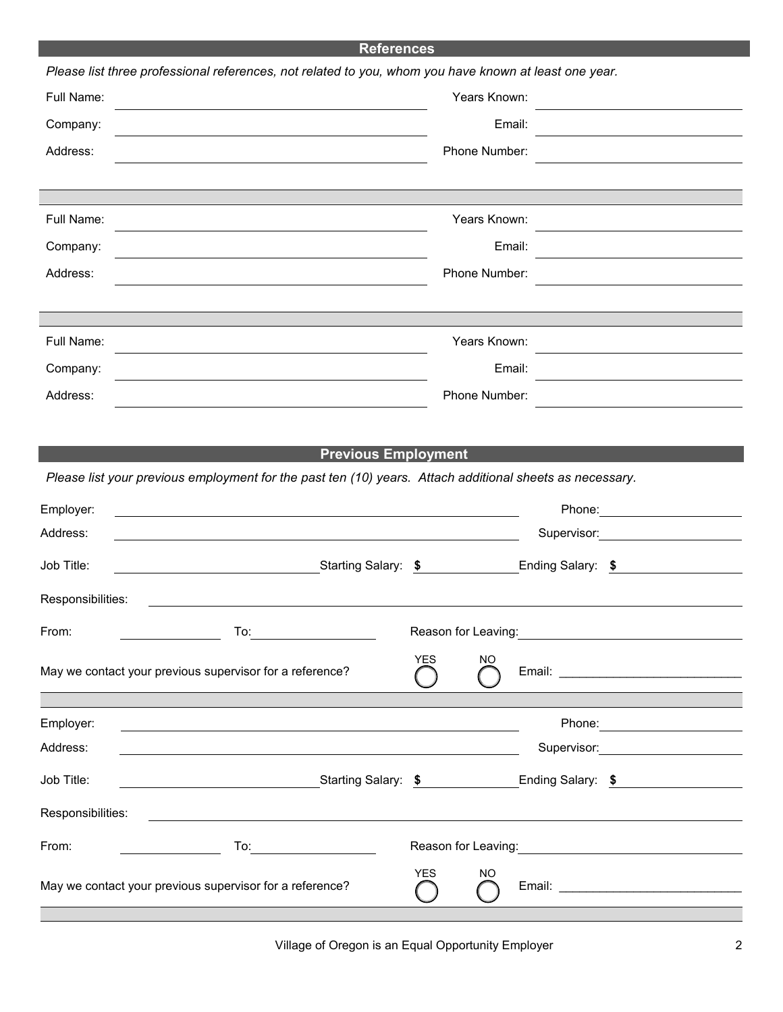| <b>References</b>                                                                                     |                                                                                                                        |                  |                                  |  |  |  |  |
|-------------------------------------------------------------------------------------------------------|------------------------------------------------------------------------------------------------------------------------|------------------|----------------------------------|--|--|--|--|
| Please list three professional references, not related to you, whom you have known at least one year. |                                                                                                                        |                  |                                  |  |  |  |  |
| Full Name:                                                                                            |                                                                                                                        | Years Known:     |                                  |  |  |  |  |
| Company:                                                                                              |                                                                                                                        | Email:           |                                  |  |  |  |  |
| Address:                                                                                              |                                                                                                                        | Phone Number:    |                                  |  |  |  |  |
|                                                                                                       |                                                                                                                        |                  |                                  |  |  |  |  |
|                                                                                                       |                                                                                                                        |                  |                                  |  |  |  |  |
| Full Name:                                                                                            |                                                                                                                        | Years Known:     |                                  |  |  |  |  |
| Company:                                                                                              |                                                                                                                        | Email:           |                                  |  |  |  |  |
| Address:                                                                                              |                                                                                                                        | Phone Number:    |                                  |  |  |  |  |
|                                                                                                       |                                                                                                                        |                  |                                  |  |  |  |  |
| Full Name:                                                                                            |                                                                                                                        | Years Known:     |                                  |  |  |  |  |
| Company:                                                                                              |                                                                                                                        | Email:           |                                  |  |  |  |  |
| Address:                                                                                              |                                                                                                                        | Phone Number:    |                                  |  |  |  |  |
|                                                                                                       |                                                                                                                        |                  |                                  |  |  |  |  |
|                                                                                                       | <b>Previous Employment</b>                                                                                             |                  |                                  |  |  |  |  |
|                                                                                                       | Please list your previous employment for the past ten (10) years. Attach additional sheets as necessary.               |                  |                                  |  |  |  |  |
| Employer:                                                                                             |                                                                                                                        |                  | Phone: ________________________  |  |  |  |  |
| Address:                                                                                              |                                                                                                                        |                  | Supervisor: <b>Example 2019</b>  |  |  |  |  |
| Job Title:                                                                                            | Starting Salary: \$                                                                                                    |                  | Ending Salary: \$                |  |  |  |  |
| Responsibilities:                                                                                     |                                                                                                                        |                  |                                  |  |  |  |  |
| From:                                                                                                 | To:<br><u> 1989 - Jan Barbara III, martxa</u>                                                                          |                  |                                  |  |  |  |  |
|                                                                                                       | May we contact your previous supervisor for a reference?                                                               | <b>YES</b><br>NO |                                  |  |  |  |  |
|                                                                                                       |                                                                                                                        |                  |                                  |  |  |  |  |
| Employer:                                                                                             | <u> 1989 - Johann Stoff, amerikansk politiker (* 1908)</u>                                                             |                  | Phone: _________________________ |  |  |  |  |
| Address:                                                                                              |                                                                                                                        |                  | Supervisor: 2000                 |  |  |  |  |
| Job Title:                                                                                            | <u>Starting Salary: \$ Particle</u> Starting Salary: \$                                                                |                  | Ending Salary: \$                |  |  |  |  |
| Responsibilities:                                                                                     | <u> 1989 - Johann Stoff, deutscher Stoffen und der Stoffen und der Stoffen und der Stoffen und der Stoffen und der</u> |                  |                                  |  |  |  |  |
| From:                                                                                                 | To <u>:_________________________</u><br>$\overline{\phantom{a}}$ . The contract of $\overline{\phantom{a}}$            |                  |                                  |  |  |  |  |
|                                                                                                       | May we contact your previous supervisor for a reference?                                                               | <b>YES</b><br>NO |                                  |  |  |  |  |
|                                                                                                       |                                                                                                                        |                  |                                  |  |  |  |  |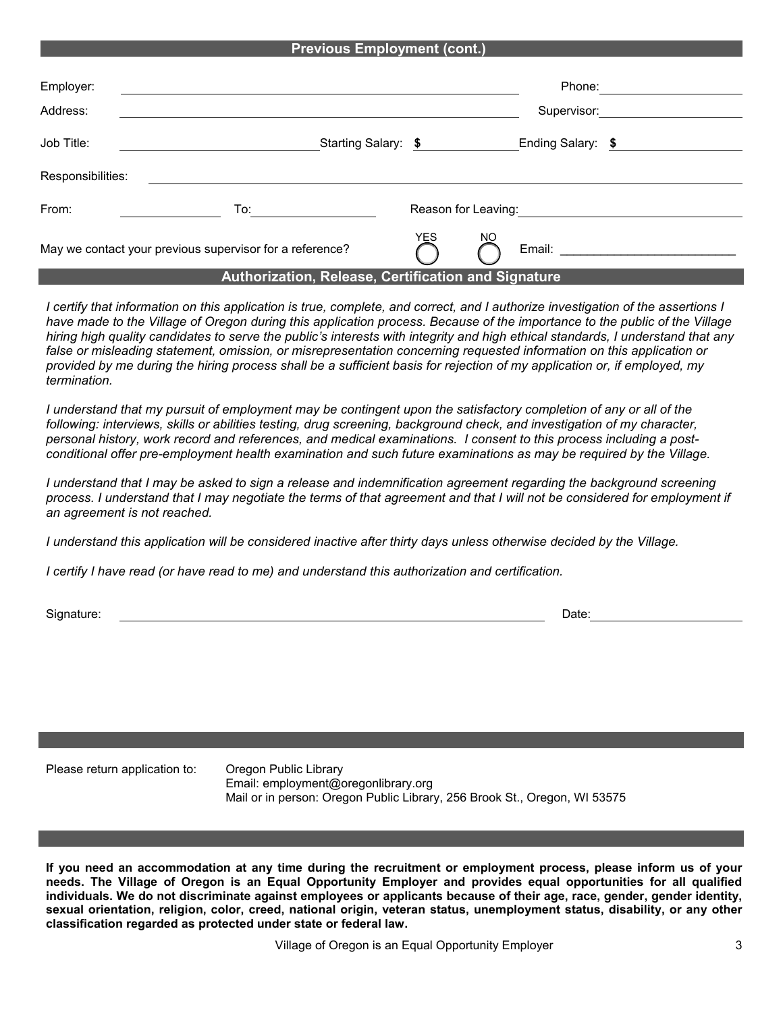## **Previous Employment (cont.)**

| Employer:         |                                                                                                                                                                                                                                |            | Phone:                           |  |
|-------------------|--------------------------------------------------------------------------------------------------------------------------------------------------------------------------------------------------------------------------------|------------|----------------------------------|--|
| Address:          |                                                                                                                                                                                                                                |            | Supervisor:                      |  |
| Job Title:        | Starting Salary: \$                                                                                                                                                                                                            |            | Ending Salary: \$                |  |
| Responsibilities: |                                                                                                                                                                                                                                |            |                                  |  |
| From:             | To: the contract of the contract of the contract of the contract of the contract of the contract of the contract of the contract of the contract of the contract of the contract of the contract of the contract of the contra |            | Reason for Leaving:              |  |
|                   | May we contact your previous supervisor for a reference?                                                                                                                                                                       | <b>YES</b> | NO<br>Email: <b>Example 1999</b> |  |

## **Authorization, Release, Certification and Signature**

*I certify that information on this application is true, complete, and correct, and I authorize investigation of the assertions I have made to the Village of Oregon during this application process. Because of the importance to the public of the Village hiring high quality candidates to serve the public's interests with integrity and high ethical standards, I understand that any*  false or misleading statement, omission, or misrepresentation concerning requested information on this application or *provided by me during the hiring process shall be a sufficient basis for rejection of my application or, if employed, my termination.* 

*I understand that my pursuit of employment may be contingent upon the satisfactory completion of any or all of the following: interviews, skills or abilities testing, drug screening, background check, and investigation of my character, personal history, work record and references, and medical examinations. I consent to this process including a postconditional offer pre-employment health examination and such future examinations as may be required by the Village.* 

*I* understand that *I* may be asked to sign a release and indemnification agreement regarding the background screening *process. I understand that I may negotiate the terms of that agreement and that I will not be considered for employment if an agreement is not reached.*

*I understand this application will be considered inactive after thirty days unless otherwise decided by the Village.*

*I certify I have read (or have read to me) and understand this authorization and certification.*

Signature: Date:

Please return application to: Oregon Public Library

Email: employment@oregonlibrary.org Mail or in person: Oregon Public Library, 256 Brook St., Oregon, WI 53575

**If you need an accommodation at any time during the recruitment or employment process, please inform us of your needs. The Village of Oregon is an Equal Opportunity Employer and provides equal opportunities for all qualified individuals. We do not discriminate against employees or applicants because of their age, race, gender, gender identity, sexual orientation, religion, color, creed, national origin, veteran status, unemployment status, disability, or any other classification regarded as protected under state or federal law.**

Village of Oregon is an Equal Opportunity Employer 3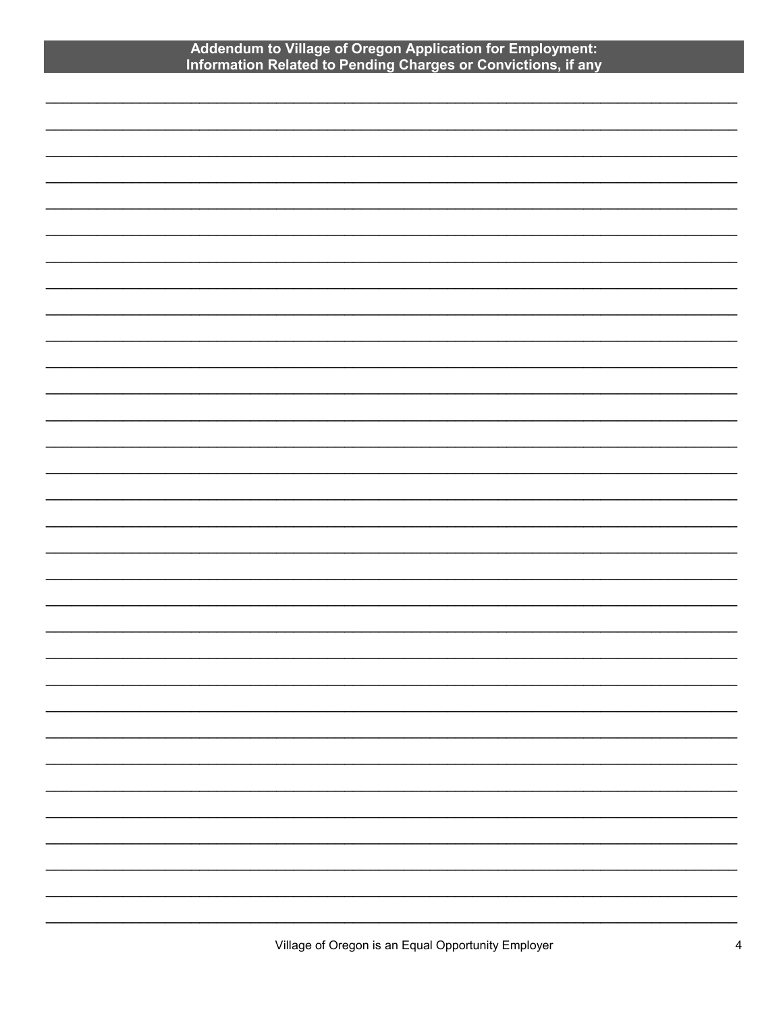## Addendum to Village of Oregon Application for Employment:<br>Information Related to Pending Charges or Convictions, if any